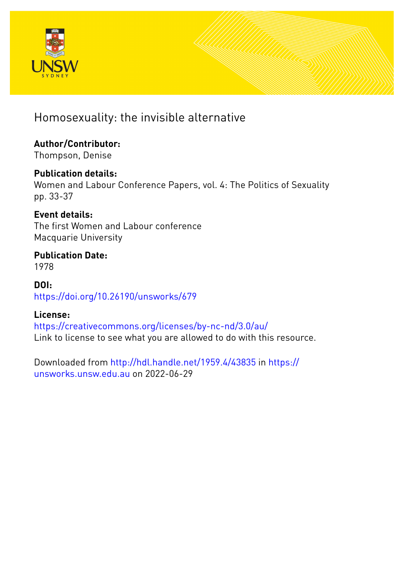

## Homosexuality: the invisible alternative

## **Author/Contributor:**

Thompson, Denise

#### **Publication details:**

Women and Labour Conference Papers, vol. 4: The Politics of Sexuality pp. 33-37

#### **Event details:**

The first Women and Labour conference Macquarie University

#### **Publication Date:** 1978

#### **DOI:** [https://doi.org/10.26190/unsworks/679](http://dx.doi.org/https://doi.org/10.26190/unsworks/679)

#### **License:**

<https://creativecommons.org/licenses/by-nc-nd/3.0/au/> Link to license to see what you are allowed to do with this resource.

Downloaded from <http://hdl.handle.net/1959.4/43835> in [https://](https://unsworks.unsw.edu.au) [unsworks.unsw.edu.au](https://unsworks.unsw.edu.au) on 2022-06-29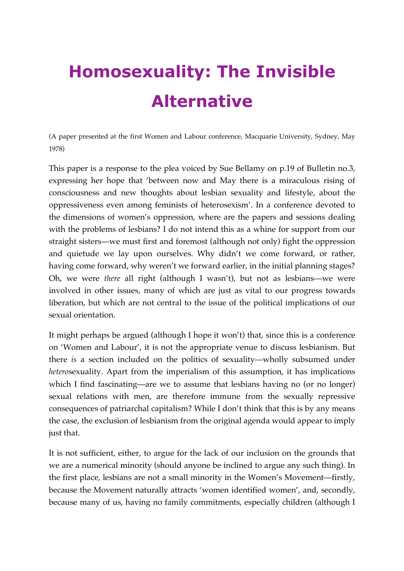# **Homosexuality: The Invisible Alternative**

(A paper presented at the first Women and Labour conference, Macquarie University, Sydney, May 1978)

This paper is a response to the plea voiced by Sue Bellamy on p.19 of Bulletin no.3, expressing her hope that 'between now and May there is a miraculous rising of consciousness and new thoughts about lesbian sexuality and lifestyle, about the oppressiveness even among feminists of heterosexism'. In a conference devoted to the dimensions of women's oppression, where are the papers and sessions dealing with the problems of lesbians? I do not intend this as a whine for support from our straight sisters—we must first and foremost (although not only) fight the oppression and quietude we lay upon ourselves. Why didn't we come forward, or rather, having come forward, why weren't we forward earlier, in the initial planning stages? Oh, we were *there* all right (although I wasn't), but not as lesbians—we were involved in other issues, many of which are just as vital to our progress towards liberation, but which are not central to the issue of the political implications of our sexual orientation.

It might perhaps be argued (although I hope it won't) that, since this is a conference on 'Women and Labour', it is not the appropriate venue to discuss lesbianism. But there *is* a section included on the politics of sexuality—wholly subsumed under *hetero*sexuality. Apart from the imperialism of this assumption, it has implications which I find fascinating—are we to assume that lesbians having no (or no longer) sexual relations with men, are therefore immune from the sexually repressive consequences of patriarchal capitalism? While I don't think that this is by any means the case, the exclusion of lesbianism from the original agenda would appear to imply just that.

It is not sufficient, either, to argue for the lack of our inclusion on the grounds that we are a numerical minority (should anyone be inclined to argue any such thing). In the first place, lesbians are not a small minority in the Women's Movement—firstly, because the Movement naturally attracts 'women identified women', and, secondly, because many of us, having no family commitments, especially children (although I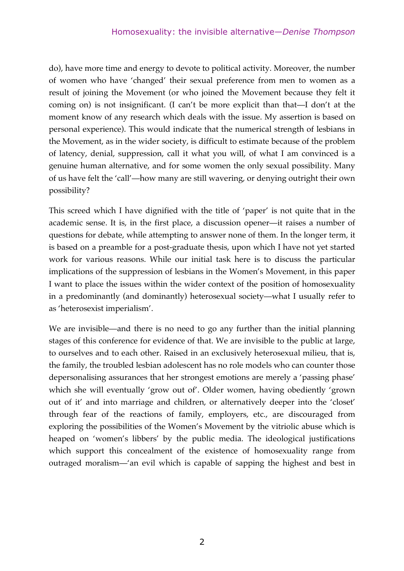do), have more time and energy to devote to political activity. Moreover, the number of women who have 'changed' their sexual preference from men to women as a result of joining the Movement (or who joined the Movement because they felt it coming on) is not insignificant. (I can't be more explicit than that—I don't at the moment know of any research which deals with the issue. My assertion is based on personal experience). This would indicate that the numerical strength of lesbians in the Movement, as in the wider society, is difficult to estimate because of the problem of latency, denial, suppression, call it what you will, of what I am convinced is a genuine human alternative, and for some women the only sexual possibility. Many of us have felt the 'call'—how many are still wavering, or denying outright their own possibility?

This screed which I have dignified with the title of 'paper' is not quite that in the academic sense. It is, in the first place, a discussion opener—it raises a number of questions for debate, while attempting to answer none of them. In the longer term, it is based on a preamble for a post-graduate thesis, upon which I have not yet started work for various reasons. While our initial task here is to discuss the particular implications of the suppression of lesbians in the Women's Movement, in this paper I want to place the issues within the wider context of the position of homosexuality in a predominantly (and dominantly) heterosexual society—what I usually refer to as 'heterosexist imperialism'.

We are invisible—and there is no need to go any further than the initial planning stages of this conference for evidence of that. We are invisible to the public at large, to ourselves and to each other. Raised in an exclusively heterosexual milieu, that is, the family, the troubled lesbian adolescent has no role models who can counter those depersonalising assurances that her strongest emotions are merely a 'passing phase' which she will eventually 'grow out of'. Older women, having obediently 'grown out of it' and into marriage and children, or alternatively deeper into the 'closet' through fear of the reactions of family, employers, etc., are discouraged from exploring the possibilities of the Women's Movement by the vitriolic abuse which is heaped on 'women's libbers' by the public media. The ideological justifications which support this concealment of the existence of homosexuality range from outraged moralism—'an evil which is capable of sapping the highest and best in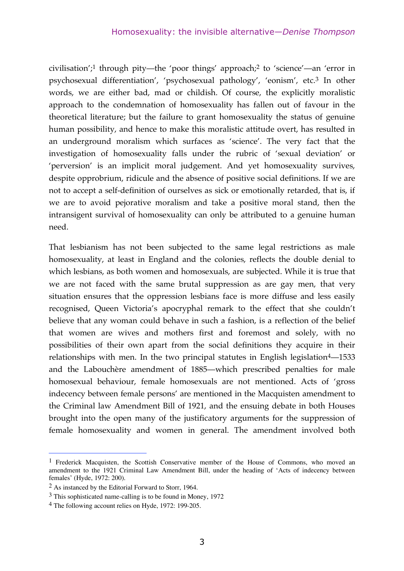civilisation';1 through pity—the 'poor things' approach;2 to 'science'—an 'error in psychosexual differentiation', 'psychosexual pathology', 'eonism', etc.3 In other words, we are either bad, mad or childish. Of course, the explicitly moralistic approach to the condemnation of homosexuality has fallen out of favour in the theoretical literature; but the failure to grant homosexuality the status of genuine human possibility, and hence to make this moralistic attitude overt, has resulted in an underground moralism which surfaces as 'science'. The very fact that the investigation of homosexuality falls under the rubric of 'sexual deviation' or 'perversion' is an implicit moral judgement. And yet homosexuality survives, despite opprobrium, ridicule and the absence of positive social definitions. If we are not to accept a self-definition of ourselves as sick or emotionally retarded, that is, if we are to avoid pejorative moralism and take a positive moral stand, then the intransigent survival of homosexuality can only be attributed to a genuine human need.

That lesbianism has not been subjected to the same legal restrictions as male homosexuality, at least in England and the colonies, reflects the double denial to which lesbians, as both women and homosexuals, are subjected. While it is true that we are not faced with the same brutal suppression as are gay men, that very situation ensures that the oppression lesbians face is more diffuse and less easily recognised, Queen Victoria's apocryphal remark to the effect that she couldn't believe that any woman could behave in such a fashion, is a reflection of the belief that women are wives and mothers first and foremost and solely, with no possibilities of their own apart from the social definitions they acquire in their relationships with men. In the two principal statutes in English legislation<sup>4</sup>—1533 and the Labouchère amendment of 1885—which prescribed penalties for male homosexual behaviour, female homosexuals are not mentioned. Acts of 'gross indecency between female persons' are mentioned in the Macquisten amendment to the Criminal law Amendment Bill of 1921, and the ensuing debate in both Houses brought into the open many of the justificatory arguments for the suppression of female homosexuality and women in general. The amendment involved both

 <sup>1</sup> Frederick Macquisten, the Scottish Conservative member of the House of Commons, who moved an amendment to the 1921 Criminal Law Amendment Bill, under the heading of 'Acts of indecency between females' (Hyde, 1972: 200).

<sup>2</sup> As instanced by the Editorial Forward to Storr, 1964.

<sup>3</sup> This sophisticated name-calling is to be found in Money, 1972

<sup>4</sup> The following account relies on Hyde, 1972: 199-205.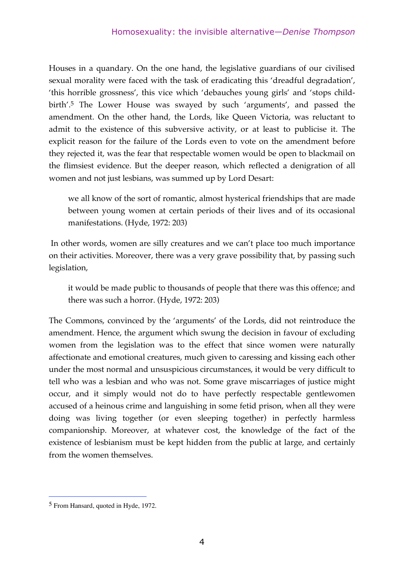Houses in a quandary. On the one hand, the legislative guardians of our civilised sexual morality were faced with the task of eradicating this 'dreadful degradation', 'this horrible grossness', this vice which 'debauches young girls' and 'stops childbirth'.5 The Lower House was swayed by such 'arguments', and passed the amendment. On the other hand, the Lords, like Queen Victoria, was reluctant to admit to the existence of this subversive activity, or at least to publicise it. The explicit reason for the failure of the Lords even to vote on the amendment before they rejected it, was the fear that respectable women would be open to blackmail on the flimsiest evidence. But the deeper reason, which reflected a denigration of all women and not just lesbians, was summed up by Lord Desart:

we all know of the sort of romantic, almost hysterical friendships that are made between young women at certain periods of their lives and of its occasional manifestations. (Hyde, 1972: 203)

 In other words, women are silly creatures and we can't place too much importance on their activities. Moreover, there was a very grave possibility that, by passing such legislation,

it would be made public to thousands of people that there was this offence; and there was such a horror. (Hyde, 1972: 203)

The Commons, convinced by the 'arguments' of the Lords, did not reintroduce the amendment. Hence, the argument which swung the decision in favour of excluding women from the legislation was to the effect that since women were naturally affectionate and emotional creatures, much given to caressing and kissing each other under the most normal and unsuspicious circumstances, it would be very difficult to tell who was a lesbian and who was not. Some grave miscarriages of justice might occur, and it simply would not do to have perfectly respectable gentlewomen accused of a heinous crime and languishing in some fetid prison, when all they were doing was living together (or even sleeping together) in perfectly harmless companionship. Moreover, at whatever cost, the knowledge of the fact of the existence of lesbianism must be kept hidden from the public at large, and certainly from the women themselves.

 <sup>5</sup> From Hansard, quoted in Hyde, 1972.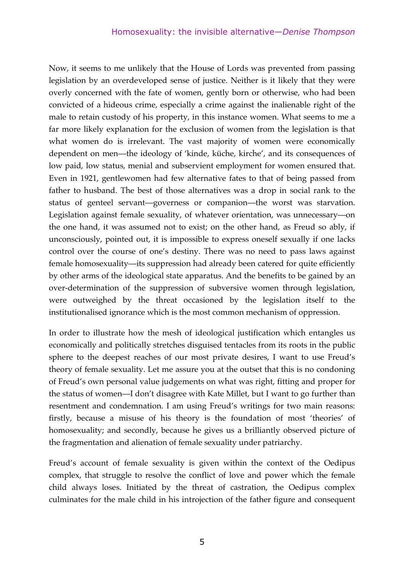Now, it seems to me unlikely that the House of Lords was prevented from passing legislation by an overdeveloped sense of justice. Neither is it likely that they were overly concerned with the fate of women, gently born or otherwise, who had been convicted of a hideous crime, especially a crime against the inalienable right of the male to retain custody of his property, in this instance women. What seems to me a far more likely explanation for the exclusion of women from the legislation is that what women do is irrelevant. The vast majority of women were economically dependent on men—the ideology of 'kinde, küche, kirche', and its consequences of low paid, low status, menial and subservient employment for women ensured that. Even in 1921, gentlewomen had few alternative fates to that of being passed from father to husband. The best of those alternatives was a drop in social rank to the status of genteel servant—governess or companion—the worst was starvation. Legislation against female sexuality, of whatever orientation, was unnecessary—on the one hand, it was assumed not to exist; on the other hand, as Freud so ably, if unconsciously, pointed out, it is impossible to express oneself sexually if one lacks control over the course of one's destiny. There was no need to pass laws against female homosexuality—its suppression had already been catered for quite efficiently by other arms of the ideological state apparatus. And the benefits to be gained by an over-determination of the suppression of subversive women through legislation, were outweighed by the threat occasioned by the legislation itself to the institutionalised ignorance which is the most common mechanism of oppression.

In order to illustrate how the mesh of ideological justification which entangles us economically and politically stretches disguised tentacles from its roots in the public sphere to the deepest reaches of our most private desires, I want to use Freud's theory of female sexuality. Let me assure you at the outset that this is no condoning of Freud's own personal value judgements on what was right, fitting and proper for the status of women—I don't disagree with Kate Millet, but I want to go further than resentment and condemnation. I am using Freud's writings for two main reasons: firstly, because a misuse of his theory is the foundation of most 'theories' of homosexuality; and secondly, because he gives us a brilliantly observed picture of the fragmentation and alienation of female sexuality under patriarchy.

Freud's account of female sexuality is given within the context of the Oedipus complex, that struggle to resolve the conflict of love and power which the female child always loses. Initiated by the threat of castration, the Oedipus complex culminates for the male child in his introjection of the father figure and consequent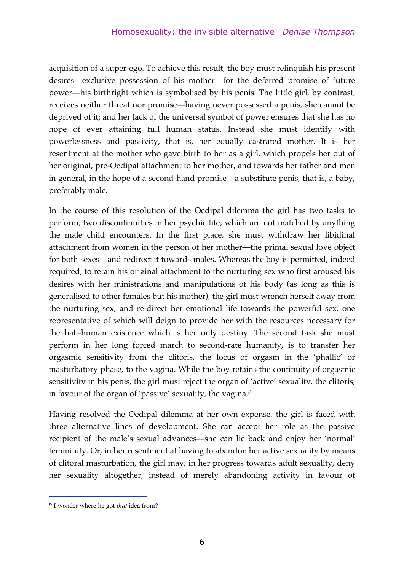acquisition of a super-ego. To achieve this result, the boy must relinquish his present desires—exclusive possession of his mother—for the deferred promise of future power—his birthright which is symbolised by his penis. The little girl, by contrast, receives neither threat nor promise—having never possessed a penis, she cannot be deprived of it; and her lack of the universal symbol of power ensures that she has no hope of ever attaining full human status. Instead she must identify with powerlessness and passivity, that is, her equally castrated mother. It is her resentment at the mother who gave birth to her as a girl, which propels her out of her original, pre-Oedipal attachment to her mother, and towards her father and men in general, in the hope of a second-hand promise—a substitute penis, that is, a baby, preferably male.

In the course of this resolution of the Oedipal dilemma the girl has two tasks to perform, two discontinuities in her psychic life, which are not matched by anything the male child encounters. In the first place, she must withdraw her libidinal attachment from women in the person of her mother—the primal sexual love object for both sexes—and redirect it towards males. Whereas the boy is permitted, indeed required, to retain his original attachment to the nurturing sex who first aroused his desires with her ministrations and manipulations of his body (as long as this is generalised to other females but his mother), the girl must wrench herself away from the nurturing sex, and re-direct her emotional life towards the powerful sex, one representative of which will deign to provide her with the resources necessary for the half-human existence which is her only destiny. The second task she must perform in her long forced march to second-rate humanity, is to transfer her orgasmic sensitivity from the clitoris, the locus of orgasm in the 'phallic' or masturbatory phase, to the vagina. While the boy retains the continuity of orgasmic sensitivity in his penis, the girl must reject the organ of 'active' sexuality, the clitoris, in favour of the organ of 'passive' sexuality, the vagina.6

Having resolved the Oedipal dilemma at her own expense, the girl is faced with three alternative lines of development. She can accept her role as the passive recipient of the male's sexual advances—she can lie back and enjoy her 'normal' femininity. Or, in her resentment at having to abandon her active sexuality by means of clitoral masturbation, the girl may, in her progress towards adult sexuality, deny her sexuality altogether, instead of merely abandoning activity in favour of

 <sup>6</sup> <sup>I</sup> wonder where he got *that* idea from?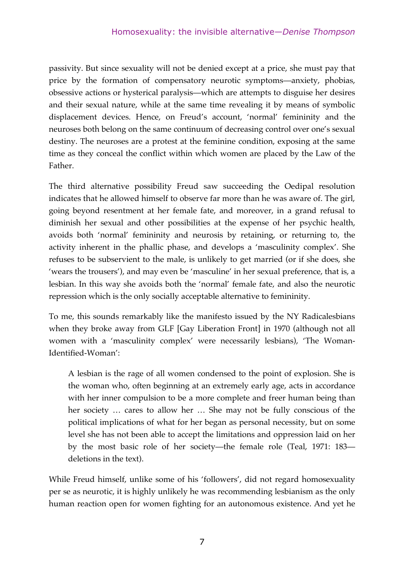passivity. But since sexuality will not be denied except at a price, she must pay that price by the formation of compensatory neurotic symptoms—anxiety, phobias, obsessive actions or hysterical paralysis—which are attempts to disguise her desires and their sexual nature, while at the same time revealing it by means of symbolic displacement devices. Hence, on Freud's account, 'normal' femininity and the neuroses both belong on the same continuum of decreasing control over one's sexual destiny. The neuroses are a protest at the feminine condition, exposing at the same time as they conceal the conflict within which women are placed by the Law of the Father.

The third alternative possibility Freud saw succeeding the Oedipal resolution indicates that he allowed himself to observe far more than he was aware of. The girl, going beyond resentment at her female fate, and moreover, in a grand refusal to diminish her sexual and other possibilities at the expense of her psychic health, avoids both 'normal' femininity and neurosis by retaining, or returning to, the activity inherent in the phallic phase, and develops a 'masculinity complex'. She refuses to be subservient to the male, is unlikely to get married (or if she does, she 'wears the trousers'), and may even be 'masculine' in her sexual preference, that is, a lesbian. In this way she avoids both the 'normal' female fate, and also the neurotic repression which is the only socially acceptable alternative to femininity.

To me, this sounds remarkably like the manifesto issued by the NY Radicalesbians when they broke away from GLF [Gay Liberation Front] in 1970 (although not all women with a 'masculinity complex' were necessarily lesbians), 'The Woman-Identified-Woman':

A lesbian is the rage of all women condensed to the point of explosion. She is the woman who, often beginning at an extremely early age, acts in accordance with her inner compulsion to be a more complete and freer human being than her society … cares to allow her … She may not be fully conscious of the political implications of what for her began as personal necessity, but on some level she has not been able to accept the limitations and oppression laid on her by the most basic role of her society—the female role (Teal, 1971: 183 deletions in the text).

While Freud himself, unlike some of his 'followers', did not regard homosexuality per se as neurotic, it is highly unlikely he was recommending lesbianism as the only human reaction open for women fighting for an autonomous existence. And yet he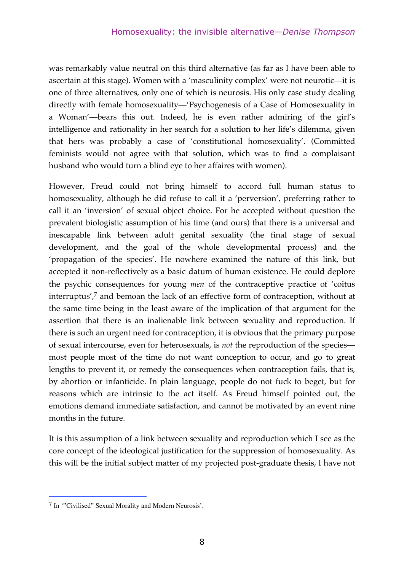was remarkably value neutral on this third alternative (as far as I have been able to ascertain at this stage). Women with a 'masculinity complex' were not neurotic—it is one of three alternatives, only one of which is neurosis. His only case study dealing directly with female homosexuality—'Psychogenesis of a Case of Homosexuality in a Woman'—bears this out. Indeed, he is even rather admiring of the girl's intelligence and rationality in her search for a solution to her life's dilemma, given that hers was probably a case of 'constitutional homosexuality'. (Committed feminists would not agree with that solution, which was to find a complaisant husband who would turn a blind eye to her affaires with women).

However, Freud could not bring himself to accord full human status to homosexuality, although he did refuse to call it a 'perversion', preferring rather to call it an 'inversion' of sexual object choice. For he accepted without question the prevalent biologistic assumption of his time (and ours) that there is a universal and inescapable link between adult genital sexuality (the final stage of sexual development, and the goal of the whole developmental process) and the 'propagation of the species'. He nowhere examined the nature of this link, but accepted it non-reflectively as a basic datum of human existence. He could deplore the psychic consequences for young *men* of the contraceptive practice of 'coitus interruptus', 7 and bemoan the lack of an effective form of contraception, without at the same time being in the least aware of the implication of that argument for the assertion that there is an inalienable link between sexuality and reproduction. If there is such an urgent need for contraception, it is obvious that the primary purpose of sexual intercourse, even for heterosexuals, is *not* the reproduction of the species most people most of the time do not want conception to occur, and go to great lengths to prevent it, or remedy the consequences when contraception fails, that is, by abortion or infanticide. In plain language, people do not fuck to beget, but for reasons which are intrinsic to the act itself. As Freud himself pointed out, the emotions demand immediate satisfaction, and cannot be motivated by an event nine months in the future.

It is this assumption of a link between sexuality and reproduction which I see as the core concept of the ideological justification for the suppression of homosexuality. As this will be the initial subject matter of my projected post-graduate thesis, I have not

 <sup>7</sup> In '"Civilised" Sexual Morality and Modern Neurosis'.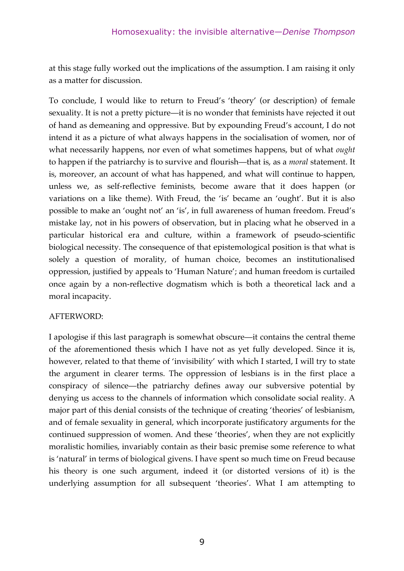at this stage fully worked out the implications of the assumption. I am raising it only as a matter for discussion.

To conclude, I would like to return to Freud's 'theory' (or description) of female sexuality. It is not a pretty picture—it is no wonder that feminists have rejected it out of hand as demeaning and oppressive. But by expounding Freud's account, I do not intend it as a picture of what always happens in the socialisation of women, nor of what necessarily happens, nor even of what sometimes happens, but of what *ought* to happen if the patriarchy is to survive and flourish—that is, as a *moral* statement. It is, moreover, an account of what has happened, and what will continue to happen, unless we, as self-reflective feminists, become aware that it does happen (or variations on a like theme). With Freud, the 'is' became an 'ought'. But it is also possible to make an 'ought not' an 'is', in full awareness of human freedom. Freud's mistake lay, not in his powers of observation, but in placing what he observed in a particular historical era and culture, within a framework of pseudo-scientific biological necessity. The consequence of that epistemological position is that what is solely a question of morality, of human choice, becomes an institutionalised oppression, justified by appeals to 'Human Nature'; and human freedom is curtailed once again by a non-reflective dogmatism which is both a theoretical lack and a moral incapacity.

#### AFTERWORD:

I apologise if this last paragraph is somewhat obscure—it contains the central theme of the aforementioned thesis which I have not as yet fully developed. Since it is, however, related to that theme of 'invisibility' with which I started, I will try to state the argument in clearer terms. The oppression of lesbians is in the first place a conspiracy of silence—the patriarchy defines away our subversive potential by denying us access to the channels of information which consolidate social reality. A major part of this denial consists of the technique of creating 'theories' of lesbianism, and of female sexuality in general, which incorporate justificatory arguments for the continued suppression of women. And these 'theories', when they are not explicitly moralistic homilies, invariably contain as their basic premise some reference to what is 'natural' in terms of biological givens. I have spent so much time on Freud because his theory is one such argument, indeed it (or distorted versions of it) is the underlying assumption for all subsequent 'theories'. What I am attempting to